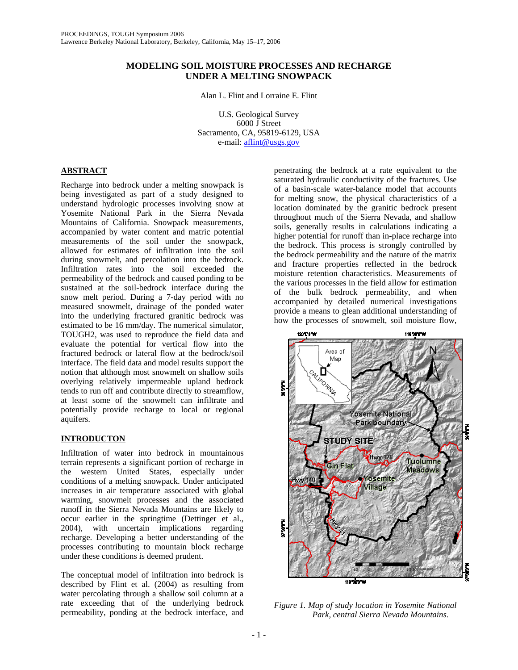### **MODELING SOIL MOISTURE PROCESSES AND RECHARGE UNDER A MELTING SNOWPACK**

Alan L. Flint and Lorraine E. Flint

U.S. Geological Survey 6000 J Street Sacramento, CA, 95819-6129, USA e-mail: aflint@usgs.gov

# **ABSTRACT**

Recharge into bedrock under a melting snowpack is being investigated as part of a study designed to understand hydrologic processes involving snow at Yosemite National Park in the Sierra Nevada Mountains of California. Snowpack measurements, accompanied by water content and matric potential measurements of the soil under the snowpack, allowed for estimates of infiltration into the soil during snowmelt, and percolation into the bedrock. Infiltration rates into the soil exceeded the permeability of the bedrock and caused ponding to be sustained at the soil-bedrock interface during the snow melt period. During a 7-day period with no measured snowmelt, drainage of the ponded water into the underlying fractured granitic bedrock was estimated to be 16 mm/day. The numerical simulator, TOUGH2, was used to reproduce the field data and evaluate the potential for vertical flow into the fractured bedrock or lateral flow at the bedrock/soil interface. The field data and model results support the notion that although most snowmelt on shallow soils overlying relatively impermeable upland bedrock tends to run off and contribute directly to streamflow, at least some of the snowmelt can infiltrate and potentially provide recharge to local or regional aquifers.

# **INTRODUCTON**

Infiltration of water into bedrock in mountainous terrain represents a significant portion of recharge in the western United States, especially under conditions of a melting snowpack. Under anticipated increases in air temperature associated with global warming, snowmelt processes and the associated runoff in the Sierra Nevada Mountains are likely to occur earlier in the springtime (Dettinger et al., 2004), with uncertain implications regarding recharge. Developing a better understanding of the processes contributing to mountain block recharge under these conditions is deemed prudent.

The conceptual model of infiltration into bedrock is described by Flint et al. (2004) as resulting from water percolating through a shallow soil column at a rate exceeding that of the underlying bedrock permeability, ponding at the bedrock interface, and

penetrating the bedrock at a rate equivalent to the saturated hydraulic conductivity of the fractures. Use of a basin-scale water-balance model that accounts for melting snow, the physical characteristics of a location dominated by the granitic bedrock present throughout much of the Sierra Nevada, and shallow soils, generally results in calculations indicating a higher potential for runoff than in-place recharge into the bedrock. This process is strongly controlled by the bedrock permeability and the nature of the matrix and fracture properties reflected in the bedrock moisture retention characteristics. Measurements of the various processes in the field allow for estimation of the bulk bedrock permeability, and when accompanied by detailed numerical investigations provide a means to glean additional understanding of how the processes of snowmelt, soil moisture flow,



*Figure 1. Map of study location in Yosemite National Park, central Sierra Nevada Mountains.*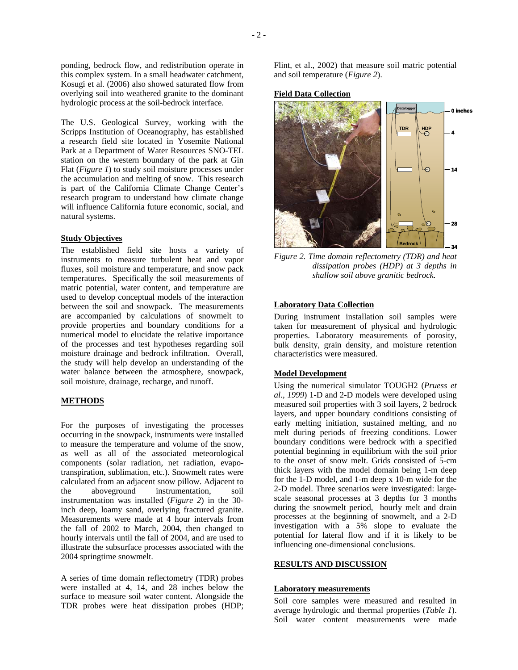ponding, bedrock flow, and redistribution operate in this complex system. In a small headwater catchment, Kosugi et al. (2006) also showed saturated flow from overlying soil into weathered granite to the dominant hydrologic process at the soil-bedrock interface.

The U.S. Geological Survey, working with the Scripps Institution of Oceanography, has established a research field site located in Yosemite National Park at a Department of Water Resources SNO-TEL station on the western boundary of the park at Gin Flat (*Figure 1*) to study soil moisture processes under the accumulation and melting of snow. This research is part of the California Climate Change Center's research program to understand how climate change will influence California future economic, social, and natural systems.

### **Study Objectives**

The established field site hosts a variety of instruments to measure turbulent heat and vapor fluxes, soil moisture and temperature, and snow pack temperatures. Specifically the soil measurements of matric potential, water content, and temperature are used to develop conceptual models of the interaction between the soil and snowpack. The measurements are accompanied by calculations of snowmelt to provide properties and boundary conditions for a numerical model to elucidate the relative importance of the processes and test hypotheses regarding soil moisture drainage and bedrock infiltration. Overall, the study will help develop an understanding of the water balance between the atmosphere, snowpack, soil moisture, drainage, recharge, and runoff.

### **METHODS**

For the purposes of investigating the processes occurring in the snowpack, instruments were installed to measure the temperature and volume of the snow, as well as all of the associated meteorological components (solar radiation, net radiation, evapotranspiration, sublimation, etc.). Snowmelt rates were calculated from an adjacent snow pillow. Adjacent to the aboveground instrumentation, soil instrumentation was installed (*Figure 2*) in the 30 inch deep, loamy sand, overlying fractured granite. Measurements were made at 4 hour intervals from the fall of 2002 to March, 2004, then changed to hourly intervals until the fall of 2004, and are used to illustrate the subsurface processes associated with the 2004 springtime snowmelt.

A series of time domain reflectometry (TDR) probes were installed at 4, 14, and 28 inches below the surface to measure soil water content. Alongside the TDR probes were heat dissipation probes (HDP;

Flint, et al., 2002) that measure soil matric potential and soil temperature (*Figure 2*).

### **Field Data Collection**



*Figure 2. Time domain reflectometry (TDR) and heat dissipation probes (HDP) at 3 depths in shallow soil above granitic bedrock.* 

# **Laboratory Data Collection**

During instrument installation soil samples were taken for measurement of physical and hydrologic properties. Laboratory measurements of porosity, bulk density, grain density, and moisture retention characteristics were measured.

#### **Model Development**

Using the numerical simulator TOUGH2 (*Pruess et al., 1999*) 1-D and 2-D models were developed using measured soil properties with 3 soil layers, 2 bedrock layers, and upper boundary conditions consisting of early melting initiation, sustained melting, and no melt during periods of freezing conditions. Lower boundary conditions were bedrock with a specified potential beginning in equilibrium with the soil prior to the onset of snow melt. Grids consisted of 5-cm thick layers with the model domain being 1-m deep for the 1-D model, and 1-m deep x 10-m wide for the 2-D model. Three scenarios were investigated: largescale seasonal processes at 3 depths for 3 months during the snowmelt period, hourly melt and drain processes at the beginning of snowmelt, and a 2-D investigation with a 5% slope to evaluate the potential for lateral flow and if it is likely to be influencing one-dimensional conclusions.

#### **RESULTS AND DISCUSSION**

#### **Laboratory measurements**

Soil core samples were measured and resulted in average hydrologic and thermal properties (*Table 1*). Soil water content measurements were made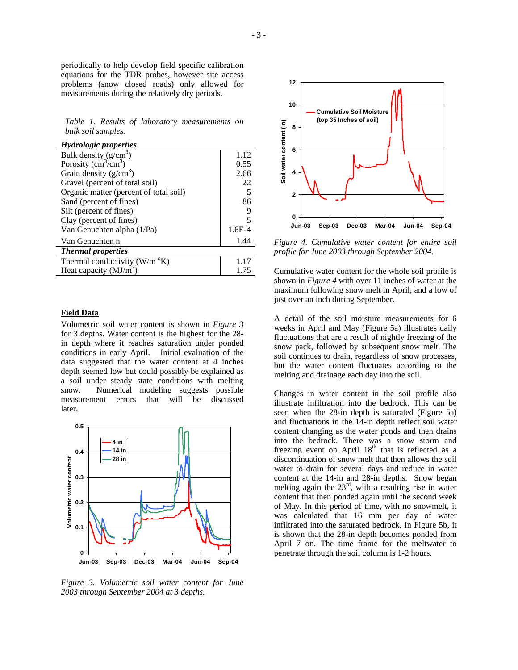periodically to help develop field specific calibration equations for the TDR probes, however site access problems (snow closed roads) only allowed for measurements during the relatively dry periods.

*Table 1. Results of laboratory measurements on bulk soil samples.*

| <b>Hydrologic properties</b>                 |          |
|----------------------------------------------|----------|
| Bulk density $(g/cm^3)$                      | 1.12     |
| Porosity $\overline{(cm^3/cm^3)}$            | 0.55     |
| Grain density $(g/cm^3)$                     | 2.66     |
| Gravel (percent of total soil)               | 22       |
| Organic matter (percent of total soil)       | 5        |
| Sand (percent of fines)                      | 86       |
| Silt (percent of fines)                      | 9        |
| Clay (percent of fines)                      | 5        |
| Van Genuchten alpha (1/Pa)                   | $1.6E-4$ |
| Van Genuchten n                              | 1.44     |
| <b>Thermal properties</b>                    |          |
| Thermal conductivity ( $W/m$ <sup>o</sup> K) |          |
| Heat capacity $(MJ/m3)$                      | 1.75     |

### **Field Data**

Volumetric soil water content is shown in *Figure 3* for 3 depths. Water content is the highest for the 28 in depth where it reaches saturation under ponded conditions in early April. Initial evaluation of the data suggested that the water content at 4 inches depth seemed low but could possibly be explained as a soil under steady state conditions with melting snow. Numerical modeling suggests possible measurement errors that will be discussed later.



*Figure 3. Volumetric soil water content for June 2003 through September 2004 at 3 depths.* 



*Figure 4. Cumulative water content for entire soil profile for June 2003 through September 2004.* 

Cumulative water content for the whole soil profile is shown in *Figure 4* with over 11 inches of water at the maximum following snow melt in April, and a low of just over an inch during September.

A detail of the soil moisture measurements for 6 weeks in April and May (Figure 5a) illustrates daily fluctuations that are a result of nightly freezing of the snow pack, followed by subsequent snow melt. The soil continues to drain, regardless of snow processes, but the water content fluctuates according to the melting and drainage each day into the soil.

Changes in water content in the soil profile also illustrate infiltration into the bedrock. This can be seen when the 28-in depth is saturated (Figure 5a) and fluctuations in the 14-in depth reflect soil water content changing as the water ponds and then drains into the bedrock. There was a snow storm and freezing event on April  $18<sup>th</sup>$  that is reflected as a discontinuation of snow melt that then allows the soil water to drain for several days and reduce in water content at the 14-in and 28-in depths. Snow began melting again the  $23<sup>rd</sup>$ , with a resulting rise in water content that then ponded again until the second week of May. In this period of time, with no snowmelt, it was calculated that 16 mm per day of water infiltrated into the saturated bedrock. In Figure 5b, it is shown that the 28-in depth becomes ponded from April 7 on. The time frame for the meltwater to penetrate through the soil column is 1-2 hours.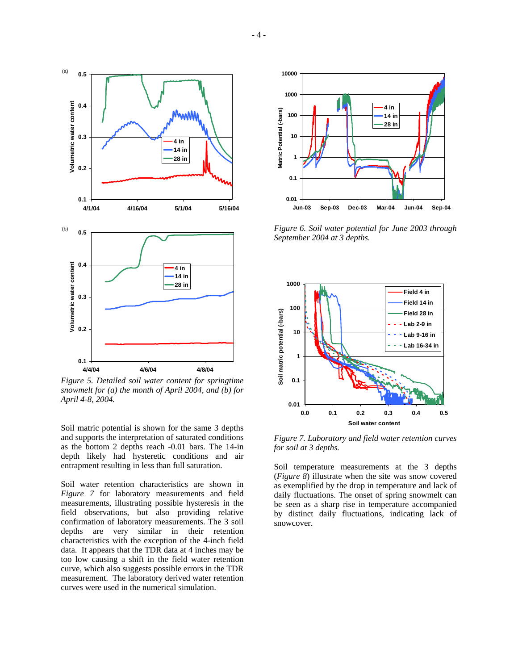

*Figure 5. Detailed soil water content for springtime snowmelt for (a) the month of April 2004, and (b) for April 4-8, 2004.* 

Soil matric potential is shown for the same 3 depths and supports the interpretation of saturated conditions as the bottom 2 depths reach -0.01 bars. The 14-in depth likely had hysteretic conditions and air entrapment resulting in less than full saturation.

Soil water retention characteristics are shown in *Figure 7* for laboratory measurements and field measurements, illustrating possible hysteresis in the field observations, but also providing relative confirmation of laboratory measurements. The 3 soil depths are very similar in their retention characteristics with the exception of the 4-inch field data. It appears that the TDR data at 4 inches may be too low causing a shift in the field water retention curve, which also suggests possible errors in the TDR measurement. The laboratory derived water retention curves were used in the numerical simulation.



*Figure 6. Soil water potential for June 2003 through September 2004 at 3 depths.* 



*Figure 7. Laboratory and field water retention curves for soil at 3 depths.* 

Soil temperature measurements at the 3 depths (*Figure 8*) illustrate when the site was snow covered as exemplified by the drop in temperature and lack of daily fluctuations. The onset of spring snowmelt can be seen as a sharp rise in temperature accompanied by distinct daily fluctuations, indicating lack of snowcover.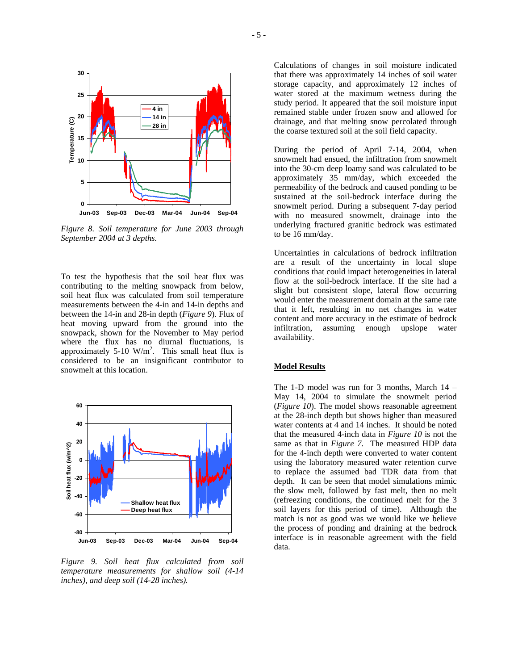

*Figure 8. Soil temperature for June 2003 through September 2004 at 3 depths.* 

To test the hypothesis that the soil heat flux was contributing to the melting snowpack from below, soil heat flux was calculated from soil temperature measurements between the 4-in and 14-in depths and between the 14-in and 28-in depth (*Figure 9*). Flux of heat moving upward from the ground into the snowpack, shown for the November to May period where the flux has no diurnal fluctuations, is approximately 5-10  $W/m^2$ . This small heat flux is considered to be an insignificant contributor to snowmelt at this location.



*Figure 9. Soil heat flux calculated from soil temperature measurements for shallow soil (4-14 inches), and deep soil (14-28 inches).* 

Calculations of changes in soil moisture indicated that there was approximately 14 inches of soil water storage capacity, and approximately 12 inches of water stored at the maximum wetness during the study period. It appeared that the soil moisture input remained stable under frozen snow and allowed for drainage, and that melting snow percolated through the coarse textured soil at the soil field capacity.

During the period of April 7-14, 2004, when snowmelt had ensued, the infiltration from snowmelt into the 30-cm deep loamy sand was calculated to be approximately 35 mm/day, which exceeded the permeability of the bedrock and caused ponding to be sustained at the soil-bedrock interface during the snowmelt period. During a subsequent 7-day period with no measured snowmelt, drainage into the underlying fractured granitic bedrock was estimated to be 16 mm/day.

Uncertainties in calculations of bedrock infiltration are a result of the uncertainty in local slope conditions that could impact heterogeneities in lateral flow at the soil-bedrock interface. If the site had a slight but consistent slope, lateral flow occurring would enter the measurement domain at the same rate that it left, resulting in no net changes in water content and more accuracy in the estimate of bedrock infiltration, assuming enough upslope water availability.

#### **Model Results**

The 1-D model was run for 3 months, March 14 – May 14, 2004 to simulate the snowmelt period (*Figure 10*). The model shows reasonable agreement at the 28-inch depth but shows higher than measured water contents at 4 and 14 inches. It should be noted that the measured 4-inch data in *Figure 10* is not the same as that in *Figure 7*. The measured HDP data for the 4-inch depth were converted to water content using the laboratory measured water retention curve to replace the assumed bad TDR data from that depth. It can be seen that model simulations mimic the slow melt, followed by fast melt, then no melt (refreezing conditions, the continued melt for the 3 soil layers for this period of time). Although the match is not as good was we would like we believe the process of ponding and draining at the bedrock interface is in reasonable agreement with the field data.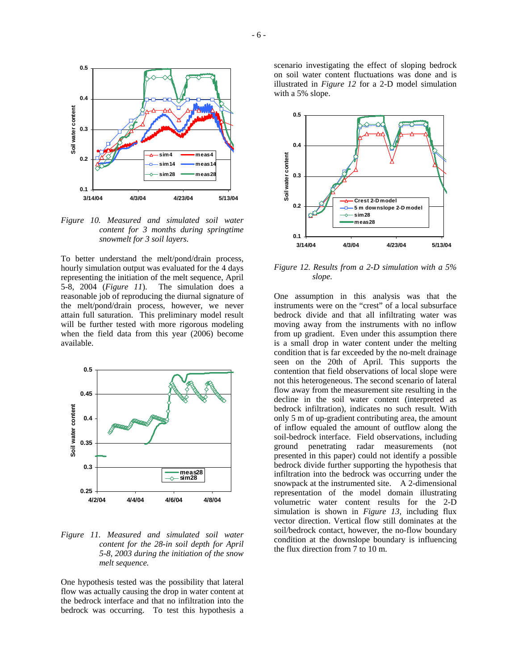

*Figure 10. Measured and simulated soil water content for 3 months during springtime snowmelt for 3 soil layers.* 

To better understand the melt/pond/drain process, hourly simulation output was evaluated for the 4 days representing the initiation of the melt sequence, April 5-8, 2004 (*Figure 11*). The simulation does a reasonable job of reproducing the diurnal signature of the melt/pond/drain process, however, we never attain full saturation. This preliminary model result will be further tested with more rigorous modeling when the field data from this year (2006) become available.



*Figure 11. Measured and simulated soil water content for the 28-in soil depth for April 5-8, 2003 during the initiation of the snow melt sequence.* 

One hypothesis tested was the possibility that lateral flow was actually causing the drop in water content at the bedrock interface and that no infiltration into the bedrock was occurring. To test this hypothesis a

scenario investigating the effect of sloping bedrock on soil water content fluctuations was done and is illustrated in *Figure 12* for a 2-D model simulation with a 5% slope.



*Figure 12. Results from a 2-D simulation with a 5% slope.* 

One assumption in this analysis was that the instruments were on the "crest" of a local subsurface bedrock divide and that all infiltrating water was moving away from the instruments with no inflow from up gradient. Even under this assumption there is a small drop in water content under the melting condition that is far exceeded by the no-melt drainage seen on the 20th of April. This supports the contention that field observations of local slope were not this heterogeneous. The second scenario of lateral flow away from the measurement site resulting in the decline in the soil water content (interpreted as bedrock infiltration), indicates no such result. With only 5 m of up-gradient contributing area, the amount of inflow equaled the amount of outflow along the soil-bedrock interface. Field observations, including ground penetrating radar measurements (not presented in this paper) could not identify a possible bedrock divide further supporting the hypothesis that infiltration into the bedrock was occurring under the snowpack at the instrumented site. A 2-dimensional representation of the model domain illustrating volumetric water content results for the 2-D simulation is shown in *Figure 13,* including flux vector direction. Vertical flow still dominates at the soil/bedrock contact, however, the no-flow boundary condition at the downslope boundary is influencing the flux direction from 7 to 10 m.